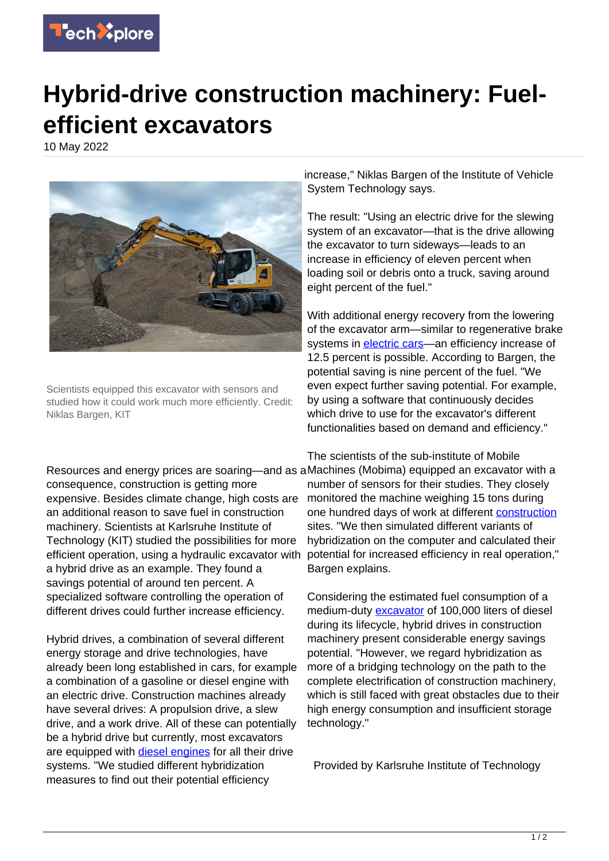

## **Hybrid-drive construction machinery: Fuelefficient excavators**

10 May 2022



Scientists equipped this excavator with sensors and studied how it could work much more efficiently. Credit: Niklas Bargen, KIT

increase," Niklas Bargen of the Institute of Vehicle System Technology says.

The result: "Using an electric drive for the slewing system of an excavator—that is the drive allowing the excavator to turn sideways—leads to an increase in efficiency of eleven percent when loading soil or debris onto a truck, saving around eight percent of the fuel."

With additional energy recovery from the lowering of the excavator arm—similar to regenerative brake systems in [electric cars](https://techxplore.com/tags/electric+cars/)—an efficiency increase of 12.5 percent is possible. According to Bargen, the potential saving is nine percent of the fuel. "We even expect further saving potential. For example, by using a software that continuously decides which drive to use for the excavator's different functionalities based on demand and efficiency."

Resources and energy prices are soaring—and as a Machines (Mobima) equipped an excavator with a consequence, construction is getting more expensive. Besides climate change, high costs are an additional reason to save fuel in construction machinery. Scientists at Karlsruhe Institute of Technology (KIT) studied the possibilities for more efficient operation, using a hydraulic excavator with a hybrid drive as an example. They found a savings potential of around ten percent. A specialized software controlling the operation of different drives could further increase efficiency.

Hybrid drives, a combination of several different energy storage and drive technologies, have already been long established in cars, for example a combination of a gasoline or diesel engine with an electric drive. Construction machines already have several drives: A propulsion drive, a slew drive, and a work drive. All of these can potentially be a hybrid drive but currently, most excavators are equipped with [diesel engines](https://techxplore.com/tags/diesel+engines/) for all their drive systems. "We studied different hybridization measures to find out their potential efficiency

The scientists of the sub-institute of Mobile number of sensors for their studies. They closely monitored the machine weighing 15 tons during one hundred days of work at different [construction](https://techxplore.com/tags/construction/) sites. "We then simulated different variants of hybridization on the computer and calculated their potential for increased efficiency in real operation," Bargen explains.

Considering the estimated fuel consumption of a medium-duty [excavator](https://techxplore.com/tags/excavator/) of 100,000 liters of diesel during its lifecycle, hybrid drives in construction machinery present considerable energy savings potential. "However, we regard hybridization as more of a bridging technology on the path to the complete electrification of construction machinery, which is still faced with great obstacles due to their high energy consumption and insufficient storage technology."

Provided by Karlsruhe Institute of Technology